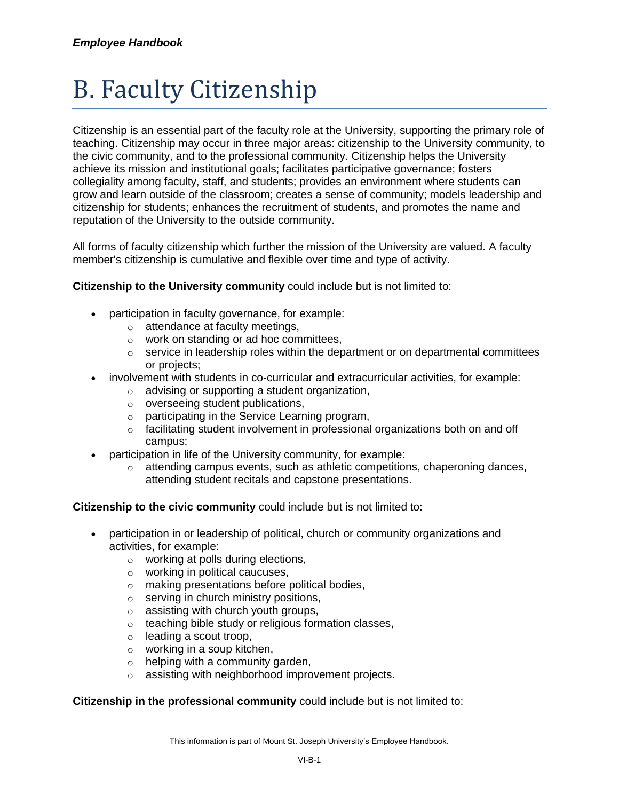# B. Faculty Citizenship

Citizenship is an essential part of the faculty role at the University, supporting the primary role of teaching. Citizenship may occur in three major areas: citizenship to the University community, to the civic community, and to the professional community. Citizenship helps the University achieve its mission and institutional goals; facilitates participative governance; fosters collegiality among faculty, staff, and students; provides an environment where students can grow and learn outside of the classroom; creates a sense of community; models leadership and citizenship for students; enhances the recruitment of students, and promotes the name and reputation of the University to the outside community.

All forms of faculty citizenship which further the mission of the University are valued. A faculty member's citizenship is cumulative and flexible over time and type of activity.

## **Citizenship to the University community** could include but is not limited to:

- participation in faculty governance, for example:
	- o attendance at faculty meetings,
	- o work on standing or ad hoc committees,
	- $\circ$  service in leadership roles within the department or on departmental committees or projects;
- involvement with students in co-curricular and extracurricular activities, for example:
	- $\circ$  advising or supporting a student organization,
	- $\circ$  overseeing student publications,
	- o participating in the Service Learning program,
	- $\circ$  facilitating student involvement in professional organizations both on and off campus;
- participation in life of the University community, for example:
	- $\circ$  attending campus events, such as athletic competitions, chaperoning dances, attending student recitals and capstone presentations.

## **Citizenship to the civic community** could include but is not limited to:

- participation in or leadership of political, church or community organizations and activities, for example:
	- o working at polls during elections,
	- o working in political caucuses,
	- o making presentations before political bodies,
	- $\circ$  serving in church ministry positions,
	- $\circ$  assisting with church youth groups,
	- o teaching bible study or religious formation classes,
	- $\circ$  leading a scout troop,
	- o working in a soup kitchen,
	- $\circ$  helping with a community garden,
	- o assisting with neighborhood improvement projects.

## **Citizenship in the professional community** could include but is not limited to: